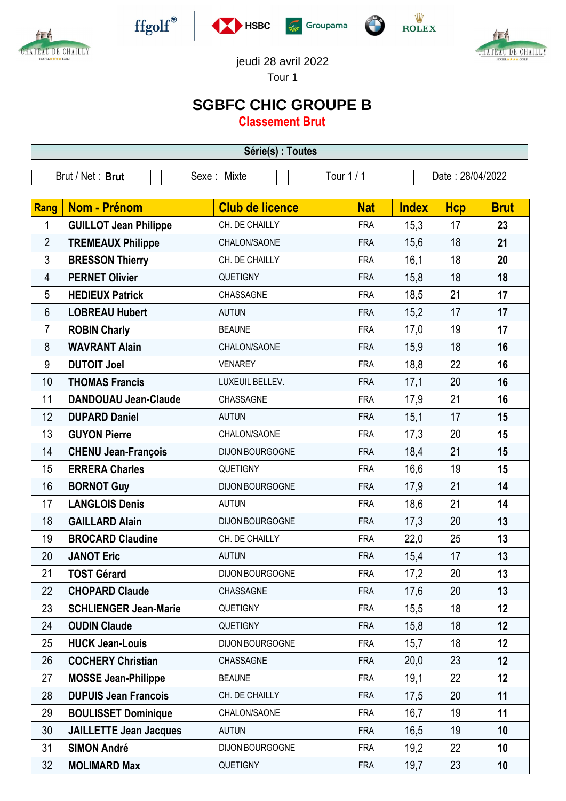



 $\operatorname{ffgolf}^{\circledast}$ 







jeudi 28 avril 2022

Tour 1

## **SGBFC CHIC GROUPE B**

**Classement Brut**

| Série(s) : Toutes       |                               |                        |            |              |                  |             |  |  |  |  |
|-------------------------|-------------------------------|------------------------|------------|--------------|------------------|-------------|--|--|--|--|
| Brut / Net: Brut        |                               | Sexe: Mixte            | Tour 1 / 1 |              | Date: 28/04/2022 |             |  |  |  |  |
| Rang                    | <b>Nom - Prénom</b>           | <b>Club de licence</b> | <b>Nat</b> | <b>Index</b> | <b>Hcp</b>       | <b>Brut</b> |  |  |  |  |
| 1                       | <b>GUILLOT Jean Philippe</b>  | CH. DE CHAILLY         | <b>FRA</b> | 15,3         | 17               | 23          |  |  |  |  |
| $\overline{2}$          | <b>TREMEAUX Philippe</b>      | CHALON/SAONE           | <b>FRA</b> | 15,6         | 18               | 21          |  |  |  |  |
| 3                       | <b>BRESSON Thierry</b>        | CH. DE CHAILLY         | <b>FRA</b> | 16,1         | 18               | 20          |  |  |  |  |
| $\overline{\mathbf{4}}$ | <b>PERNET Olivier</b>         | <b>QUETIGNY</b>        | <b>FRA</b> | 15,8         | 18               | 18          |  |  |  |  |
| 5                       | <b>HEDIEUX Patrick</b>        | CHASSAGNE              | <b>FRA</b> | 18,5         | 21               | 17          |  |  |  |  |
| 6                       | <b>LOBREAU Hubert</b>         | <b>AUTUN</b>           | <b>FRA</b> | 15,2         | 17               | 17          |  |  |  |  |
| 7                       | <b>ROBIN Charly</b>           | <b>BEAUNE</b>          | <b>FRA</b> | 17,0         | 19               | 17          |  |  |  |  |
| $\bf 8$                 | <b>WAVRANT Alain</b>          | CHALON/SAONE           | <b>FRA</b> | 15,9         | 18               | 16          |  |  |  |  |
| 9                       | <b>DUTOIT Joel</b>            | <b>VENAREY</b>         | <b>FRA</b> | 18,8         | 22               | 16          |  |  |  |  |
| 10                      | <b>THOMAS Francis</b>         | LUXEUIL BELLEV.        | <b>FRA</b> | 17,1         | 20               | 16          |  |  |  |  |
| 11                      | <b>DANDOUAU Jean-Claude</b>   | CHASSAGNE              | <b>FRA</b> | 17,9         | 21               | 16          |  |  |  |  |
| 12                      | <b>DUPARD Daniel</b>          | <b>AUTUN</b>           | <b>FRA</b> | 15,1         | 17               | 15          |  |  |  |  |
| 13                      | <b>GUYON Pierre</b>           | CHALON/SAONE           | <b>FRA</b> | 17,3         | 20               | 15          |  |  |  |  |
| 14                      | <b>CHENU Jean-François</b>    | DIJON BOURGOGNE        | <b>FRA</b> | 18,4         | 21               | 15          |  |  |  |  |
| 15                      | <b>ERRERA Charles</b>         | QUETIGNY               | <b>FRA</b> | 16,6         | 19               | 15          |  |  |  |  |
| 16                      | <b>BORNOT Guy</b>             | DIJON BOURGOGNE        | <b>FRA</b> | 17,9         | 21               | 14          |  |  |  |  |
| 17                      | <b>LANGLOIS Denis</b>         | <b>AUTUN</b>           | <b>FRA</b> | 18,6         | 21               | 14          |  |  |  |  |
| 18                      | <b>GAILLARD Alain</b>         | DIJON BOURGOGNE        | <b>FRA</b> | 17,3         | 20               | 13          |  |  |  |  |
| 19                      | <b>BROCARD Claudine</b>       | CH. DE CHAILLY         | <b>FRA</b> | 22,0         | 25               | 13          |  |  |  |  |
| 20                      | <b>JANOT Eric</b>             | <b>AUTUN</b>           | <b>FRA</b> | 15,4         | 17               | 13          |  |  |  |  |
| 21                      | <b>TOST Gérard</b>            | DIJON BOURGOGNE        | <b>FRA</b> | 17,2         | 20               | 13          |  |  |  |  |
| 22                      | <b>CHOPARD Claude</b>         | CHASSAGNE              | <b>FRA</b> | 17,6         | 20               | 13          |  |  |  |  |
| 23                      | <b>SCHLIENGER Jean-Marie</b>  | <b>QUETIGNY</b>        | <b>FRA</b> | 15,5         | 18               | 12          |  |  |  |  |
| 24                      | <b>OUDIN Claude</b>           | <b>QUETIGNY</b>        | <b>FRA</b> | 15,8         | 18               | 12          |  |  |  |  |
| 25                      | <b>HUCK Jean-Louis</b>        | DIJON BOURGOGNE        | <b>FRA</b> | 15,7         | 18               | 12          |  |  |  |  |
| 26                      | <b>COCHERY Christian</b>      | <b>CHASSAGNE</b>       | <b>FRA</b> | 20,0         | 23               | 12          |  |  |  |  |
| 27                      | <b>MOSSE Jean-Philippe</b>    | <b>BEAUNE</b>          | <b>FRA</b> | 19,1         | 22               | 12          |  |  |  |  |
| 28                      | <b>DUPUIS Jean Francois</b>   | CH. DE CHAILLY         | <b>FRA</b> | 17,5         | 20               | 11          |  |  |  |  |
| 29                      | <b>BOULISSET Dominique</b>    | CHALON/SAONE           | <b>FRA</b> | 16,7         | 19               | 11          |  |  |  |  |
| 30                      | <b>JAILLETTE Jean Jacques</b> | <b>AUTUN</b>           | <b>FRA</b> | 16,5         | 19               | 10          |  |  |  |  |
| 31                      | <b>SIMON André</b>            | DIJON BOURGOGNE        | <b>FRA</b> | 19,2         | 22               | 10          |  |  |  |  |
| 32                      | <b>MOLIMARD Max</b>           | <b>QUETIGNY</b>        | <b>FRA</b> | 19,7         | 23               | 10          |  |  |  |  |